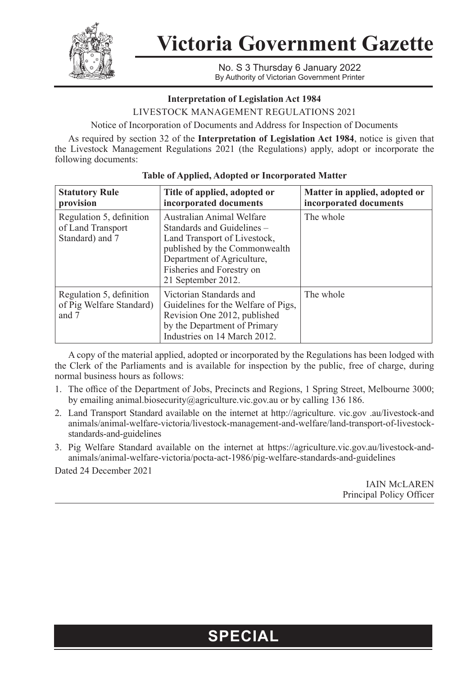

**Victoria Government Gazette**

No. S 3 Thursday 6 January 2022 By Authority of Victorian Government Printer

### **Interpretation of Legislation Act 1984**

LIVESTOCK MANAGEMENT REGULATIONS 2021

Notice of Incorporation of Documents and Address for Inspection of Documents

As required by section 32 of the **Interpretation of Legislation Act 1984**, notice is given that the Livestock Management Regulations 2021 (the Regulations) apply, adopt or incorporate the following documents:

| <b>Statutory Rule</b><br>provision                               | Title of applied, adopted or<br>incorporated documents                                                                                                                                                    | Matter in applied, adopted or<br>incorporated documents |
|------------------------------------------------------------------|-----------------------------------------------------------------------------------------------------------------------------------------------------------------------------------------------------------|---------------------------------------------------------|
| Regulation 5, definition<br>of Land Transport<br>Standard) and 7 | Australian Animal Welfare<br>Standards and Guidelines –<br>Land Transport of Livestock,<br>published by the Commonwealth<br>Department of Agriculture,<br>Fisheries and Forestry on<br>21 September 2012. | The whole                                               |
| Regulation 5, definition<br>of Pig Welfare Standard)<br>and 7    | Victorian Standards and<br>Guidelines for the Welfare of Pigs,<br>Revision One 2012, published<br>by the Department of Primary<br>Industries on 14 March 2012.                                            | The whole                                               |

### **Table of Applied, Adopted or Incorporated Matter**

A copy of the material applied, adopted or incorporated by the Regulations has been lodged with the Clerk of the Parliaments and is available for inspection by the public, free of charge, during normal business hours as follows:

- 1. The office of the Department of Jobs, Precincts and Regions, 1 Spring Street, Melbourne 3000; by emailing [animal.biosecurity@agriculture.vic.gov.au](mailto:animal.biosecurity@agriculture.vic.gov.au) or by calling 136 186.
- 2. Land Transport Standard available on the internet at http://agriculture. vic.gov .au/Iivestock-and animals/animal-welfare-victoria/livestock-management-and-welfare/land-transport-of-livestockstandards-and-guidelines
- 3. Pig Welfare Standard available on the internet at [https://agriculture.vic.gov.au/livestock-and](https://agriculture.vic.gov.au/livestock-and-animals/animal-welfare-victoria/pocta-act-1986/pig-welfare-standards-and-guidelines)[animals/animal-welfare-victoria/pocta-act-1986/pig-welfare-standards-and-guidelines](https://agriculture.vic.gov.au/livestock-and-animals/animal-welfare-victoria/pocta-act-1986/pig-welfare-standards-and-guidelines)

Dated 24 December 2021

IAIN MCLAREN Principal Policy Officer

## **SPECIAL**